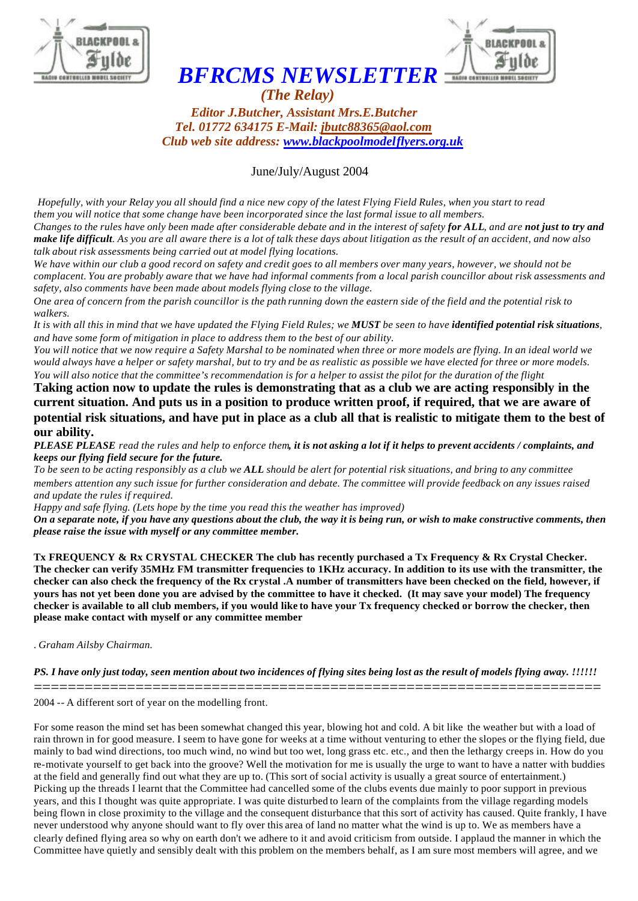



## *BFRCMS NEWSLETTER*

 *(The Relay) Editor J.Butcher, Assistant Mrs.E.Butcher Tel. 01772 634175 E-Mail: jbutc88365@aol.com Club web site address: www.blackpoolmodelflyers.org.uk*

June/July/August 2004

*Hopefully, with your Relay you all should find a nice new copy of the latest Flying Field Rules, when you start to read them you will notice that some change have been incorporated since the last formal issue to all members. Changes to the rules have only been made after considerable debate and in the interest of safety for ALL, and are not just to try and make life difficult. As you are all aware there is a lot of talk these days about litigation as the result of an accident, and now also talk about risk assessments being carried out at model flying locations.* 

*We have within our club a good record on safety and credit goes to all members over many years, however, we should not be complacent. You are probably aware that we have had informal comments from a local parish councillor about risk assessments and safety, also comments have been made about models flying close to the village.* 

*One area of concern from the parish councillor is the path running down the eastern side of the field and the potential risk to walkers.*

*It is with all this in mind that we have updated the Flying Field Rules; we MUST be seen to have identified potential risk situations, and have some form of mitigation in place to address them to the best of our ability.* 

*You will notice that we now require a Safety Marshal to be nominated when three or more models are flying. In an ideal world we would always have a helper or safety marshal, but to try and be as realistic as possible we have elected for three or more models. You will also notice that the committee's recommendation is for a helper to assist the pilot for the duration of the flight* 

**Taking action now to update the rules is demonstrating that as a club we are acting responsibly in the current situation. And puts us in a position to produce written proof, if required, that we are aware of potential risk situations, and have put in place as a club all that is realistic to mitigate them to the best of our ability.**

*PLEASE PLEASE read the rules and help to enforce them, it is not asking a lot if it helps to prevent accidents / complaints, and keeps our flying field secure for the future.* 

*To be seen to be acting responsibly as a club we ALL should be alert for potential risk situations, and bring to any committee members attention any such issue for further consideration and debate. The committee will provide feedback on any issues raised and update the rules if required.*

*Happy and safe flying. (Lets hope by the time you read this the weather has improved)*

*On a separate note, if you have any questions about the club, the way it is being run, or wish to make constructive comments, then please raise the issue with myself or any committee member.* 

**Tx FREQUENCY & Rx CRYSTAL CHECKER The club has recently purchased a Tx Frequency & Rx Crystal Checker. The checker can verify 35MHz FM transmitter frequencies to 1KHz accuracy. In addition to its use with the transmitter, the checker can also check the frequency of the Rx crystal .A number of transmitters have been checked on the field, however, if yours has not yet been done you are advised by the committee to have it checked. (It may save your model) The frequency checker is available to all club members, if you would like to have your Tx frequency checked or borrow the checker, then please make contact with myself or any committee member**

. *Graham Ailsby Chairman.* 

*PS. I have only just today, seen mention about two incidences of flying sites being lost as the result of models flying away. !!!!!!*  ===================================================================

2004 -- A different sort of year on the modelling front.

For some reason the mind set has been somewhat changed this year, blowing hot and cold. A bit like the weather but with a load of rain thrown in for good measure. I seem to have gone for weeks at a time without venturing to ether the slopes or the flying field, due mainly to bad wind directions, too much wind, no wind but too wet, long grass etc. etc., and then the lethargy creeps in. How do you re-motivate yourself to get back into the groove? Well the motivation for me is usually the urge to want to have a natter with buddies at the field and generally find out what they are up to. (This sort of social activity is usually a great source of entertainment.) Picking up the threads I learnt that the Committee had cancelled some of the clubs events due mainly to poor support in previous years, and this I thought was quite appropriate. I was quite disturbed to learn of the complaints from the village regarding models being flown in close proximity to the village and the consequent disturbance that this sort of activity has caused. Quite frankly, I have never understood why anyone should want to fly over this area of land no matter what the wind is up to. We as members have a clearly defined flying area so why on earth don't we adhere to it and avoid criticism from outside. I applaud the manner in which the Committee have quietly and sensibly dealt with this problem on the members behalf, as I am sure most members will agree, and we